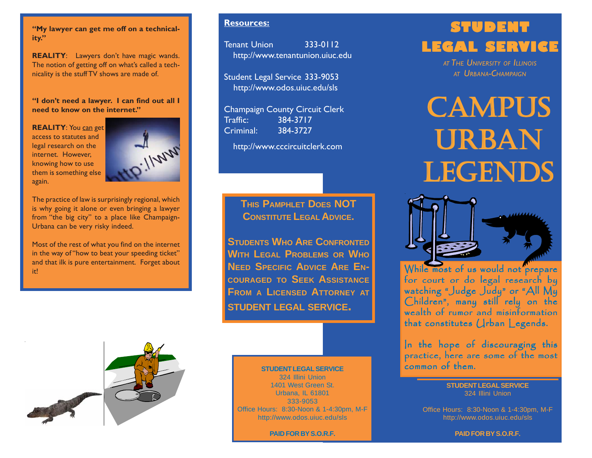**"My lawyer can get me off on a technicality."**

**REALITY**: Lawyers don't have magic wands. The notion of getting off on what's called a technicality is the stuff TV shows are made of.

**"I don't need a lawyer. I can find out all I need to know on the internet."**

**REALITY:** You can get access to statutes and legal research on the internet. However, knowing how to use them is something else again.



The practice of law is surprisingly regional, which is why going it alone or even bringing a lawyer from "the big city" to a place like Champaign-Urbana can be very risky indeed.

Most of the rest of what you find on the internet in the way of "how to beat your speeding ticket" and that ilk is pure entertainment. Forget about it!

**Resources:**

Tenant Union 333-0112 http://www.tenantunion.uiuc.edu

Student Legal Service 333-9053 http://www.odos.uiuc.edu/sls

Champaign County Circuit Clerk Traffic: 384-3717 Criminal: 384-3727

http://www.cccircuitclerk.com

# **THIS PAMPHLET DOES NOT CONSTITUTE LEGAL ADVICE.**

**STUDENTS WHO ARE CONFRONTED WITH LEGAL PROBLEMS OR WHO NEED SPECIFIC ADVICE ARE EN-COURAGED TO SEEK ASSISTANCE FROM A LICENSED ATTORNEY AT STUDENT LEGAL SERVICE.**



#### **STUDENT LEGAL SERVICE**

324 Illini Union 1401 West Green St. Urbana, IL 61801 333-9053 Office Hours: 8:30-Noon & 1-4:30pm, M-F http://www.odos.uiuc.edu/sls

**PAID FOR BY S.O.R.F.**

# **STUDENT LEGAL SERVICE**

*AT THE UNIVERSITY OF ILLINOIS AT URBANA-CHAMPAIGN*

# **CAMPUS** uRBaN LEGENDS



While most of us would not prepare<br>for court or do legal research by watching "Judge Judy" or "All My Children", many still rely on the wealth of rumor and misinformation that constitutes  $Q$ rban Legends.

In the hope of discouraging this practice, here are some of the most<br>common of them.

> **STUDENT LEGAL SERVICE** 324 Illini Union

Office Hours: 8:30-Noon & 1-4:30pm, M-F http://www.odos.uiuc.edu/sls

**PAID FOR BY S.O.R.F.**